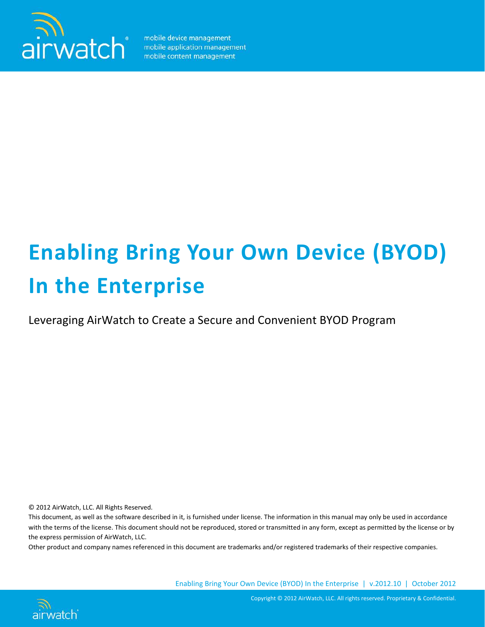

mobile device management mobile application management mobile content management

# **Enabling Bring Your Own Device (BYOD) In the Enterprise**

Leveraging AirWatch to Create a Secure and Convenient BYOD Program

© 2012 AirWatch, LLC. All Rights Reserved.

This document, as well as the software described in it, is furnished under license. The information in this manual may only be used in accordance with the terms of the license. This document should not be reproduced, stored or transmitted in any form, except as permitted by the license or by the express permission of AirWatch, LLC.

Other product and company names referenced in this document are trademarks and/or registered trademarks of their respective companies.

Enabling Bring Your Own Device (BYOD) In the Enterprise | v.2012.10 | October 2012



Copyright © 2012 AirWatch, LLC. All rights reserved. Proprietary & Confidential.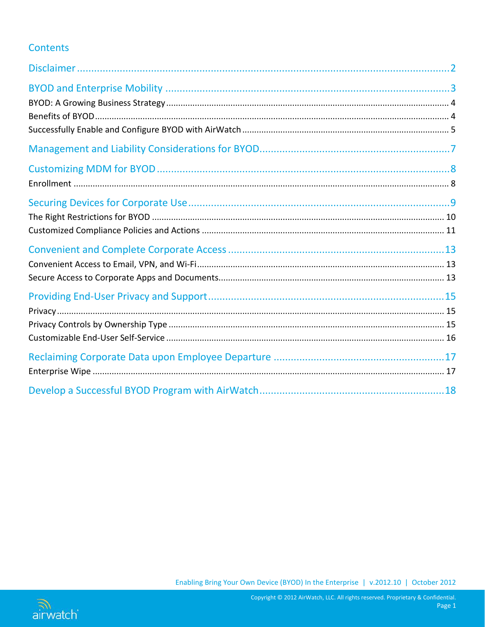# **Contents**

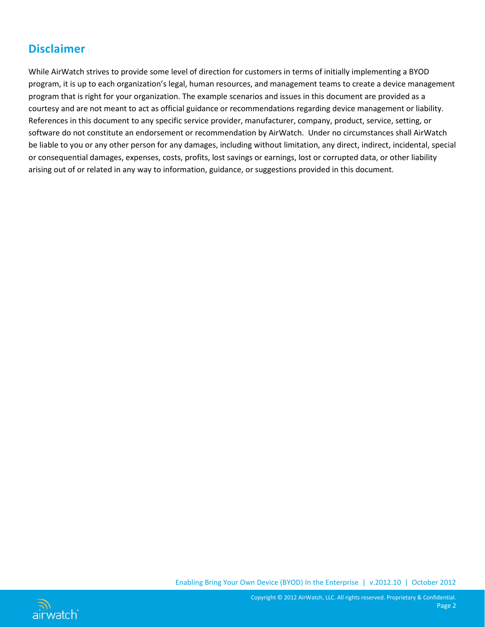# <span id="page-2-0"></span>**Disclaimer**

While AirWatch strives to provide some level of direction for customers in terms of initially implementing a BYOD program, it is up to each organization's legal, human resources, and management teams to create a device management program that is right for your organization. The example scenarios and issues in this document are provided as a courtesy and are not meant to act as official guidance or recommendations regarding device management or liability. References in this document to any specific service provider, manufacturer, company, product, service, setting, or software do not constitute an endorsement or recommendation by AirWatch. Under no circumstances shall AirWatch be liable to you or any other person for any damages, including without limitation, any direct, indirect, incidental, special or consequential damages, expenses, costs, profits, lost savings or earnings, lost or corrupted data, or other liability arising out of or related in any way to information, guidance, or suggestions provided in this document.





Copyright © 2012 AirWatch, LLC. All rights reserved. Proprietary & Confidential. Page 2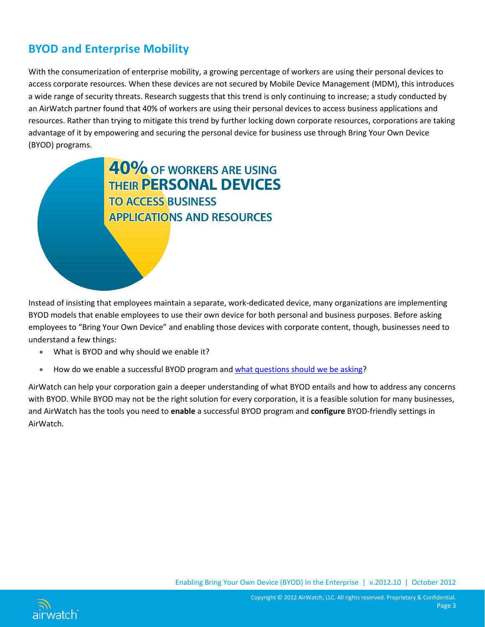# <span id="page-3-0"></span>**BYOD and Enterprise Mobility**

With the consumerization of enterprise mobility, a growing percentage of workers are using their personal devices to access corporate resources. When these devices are not secured by Mobile Device Management (MDM), this introduces a wide range of security threats. Research suggests that this trend is only continuing to increase; a study conducted by an AirWatch partner found that 40% of workers are using their personal devices to access business applications and resources. Rather than trying to mitigate this trend by further locking down corporate resources, corporations are taking advantage of it by empowering and securing the personal device for business use through Bring Your Own Device (BYOD) programs.

> 40% OF WORKERS ARE USING **THEIR PERSONAL DEVICES TO ACCESS BUSINESS APPLICATIONS AND RESOURCES**

Instead of insisting that employees maintain a separate, work-dedicated device, many organizations are implementing BYOD models that enable employees to use their own device for both personal and business purposes. Before asking employees to "Bring Your Own Device" and enabling those devices with corporate content, though, businesses need to understand a few things:

- What is BYOD and why should we enable it?
- How do we enable a successful BYOD program an[d what questions should we be asking?](#page-5-0)

AirWatch can help your corporation gain a deeper understanding of what BYOD entails and how to address any concerns with BYOD. While BYOD may not be the right solution for every corporation, it is a feasible solution for many businesses, and AirWatch has the tools you need to **enable** a successful BYOD program and **configure** BYOD-friendly settings in AirWatch.

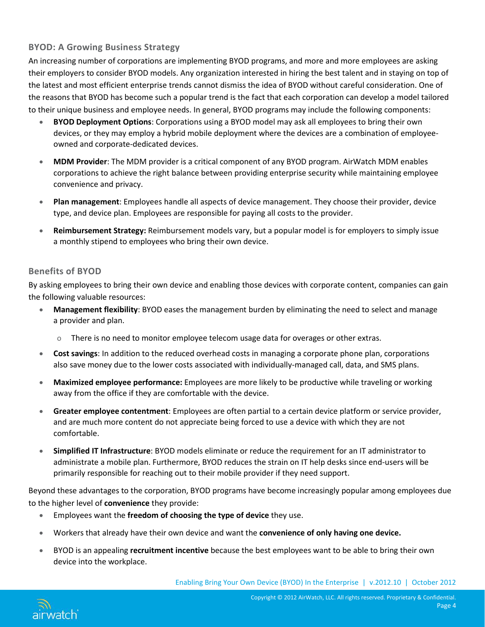#### <span id="page-4-0"></span>**BYOD: A Growing Business Strategy**

An increasing number of corporations are implementing BYOD programs, and more and more employees are asking their employers to consider BYOD models. Any organization interested in hiring the best talent and in staying on top of the latest and most efficient enterprise trends cannot dismiss the idea of BYOD without careful consideration. One of the reasons that BYOD has become such a popular trend is the fact that each corporation can develop a model tailored to their unique business and employee needs. In general, BYOD programs may include the following components:

- **BYOD Deployment Options**: Corporations using a BYOD model may ask all employees to bring their own devices, or they may employ a hybrid mobile deployment where the devices are a combination of employeeowned and corporate-dedicated devices.
- **MDM Provider**: The MDM provider is a critical component of any BYOD program. AirWatch MDM enables corporations to achieve the right balance between providing enterprise security while maintaining employee convenience and privacy.
- **Plan management**: Employees handle all aspects of device management. They choose their provider, device type, and device plan. Employees are responsible for paying all costs to the provider.
- **Reimbursement Strategy:** Reimbursement models vary, but a popular model is for employers to simply issue a monthly stipend to employees who bring their own device.

#### <span id="page-4-1"></span>**Benefits of BYOD**

By asking employees to bring their own device and enabling those devices with corporate content, companies can gain the following valuable resources:

- **Management flexibility**: BYOD eases the management burden by eliminating the need to select and manage a provider and plan.
	- o There is no need to monitor employee telecom usage data for overages or other extras.
- **Cost savings**: In addition to the reduced overhead costs in managing a corporate phone plan, corporations also save money due to the lower costs associated with individually-managed call, data, and SMS plans.
- **Maximized employee performance:** Employees are more likely to be productive while traveling or working away from the office if they are comfortable with the device.
- **Greater employee contentment**: Employees are often partial to a certain device platform or service provider, and are much more content do not appreciate being forced to use a device with which they are not comfortable.
- **Simplified IT Infrastructure**: BYOD models eliminate or reduce the requirement for an IT administrator to administrate a mobile plan. Furthermore, BYOD reduces the strain on IT help desks since end-users will be primarily responsible for reaching out to their mobile provider if they need support.

Beyond these advantages to the corporation, BYOD programs have become increasingly popular among employees due to the higher level of **convenience** they provide:

- Employees want the **freedom of choosing the type of device** they use.
- Workers that already have their own device and want the **convenience of only having one device.**
- BYOD is an appealing **recruitment incentive** because the best employees want to be able to bring their own device into the workplace.

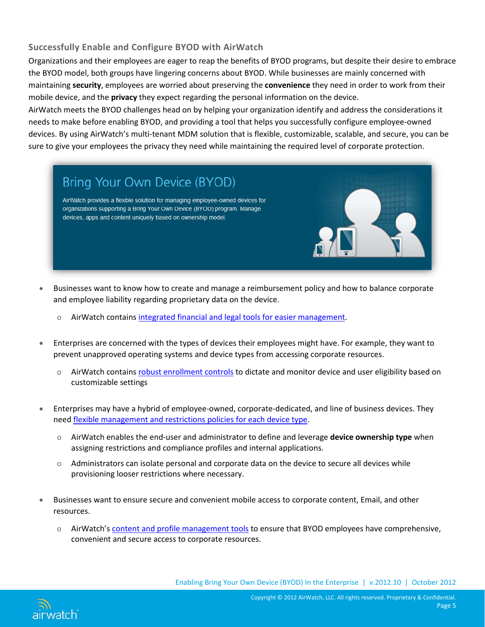### <span id="page-5-0"></span>**Successfully Enable and Configure BYOD with AirWatch**

Organizations and their employees are eager to reap the benefits of BYOD programs, but despite their desire to embrace the BYOD model, both groups have lingering concerns about BYOD. While businesses are mainly concerned with maintaining **security**, employees are worried about preserving the **convenience** they need in order to work from their mobile device, and the **privacy** they expect regarding the personal information on the device.

AirWatch meets the BYOD challenges head on by helping your organization identify and address the considerations it needs to make before enabling BYOD, and providing a tool that helps you successfully configure employee-owned devices. By using AirWatch's multi-tenant MDM solution that is flexible, customizable, scalable, and secure, you can be sure to give your employees the privacy they need while maintaining the required level of corporate protection.

# Bring Your Own Device (BYOD)

AirWatch provides a flexible solution for managing employee-owned devices for organizations supporting a Bring Your Own Device (BYOD) program. Manage devices, apps and content uniquely based on ownership model.

- Businesses want to know how to create and manage a reimbursement policy and how to balance corporate and employee liability regarding proprietary data on the device.
	- o AirWatch contain[s integrated financial and legal tools for easier management.](#page-7-0)
- Enterprises are concerned with the types of devices their employees might have. For example, they want to prevent unapproved operating systems and device types from accessing corporate resources.
	- AirWatch contain[s robust enrollment controls](#page-8-1) to dictate and monitor device and user eligibility based on customizable settings
- Enterprises may have a hybrid of employee-owned, corporate-dedicated, and line of business devices. They nee[d flexible management and restrictions policies for each device type.](#page-8-2)
	- o AirWatch enables the end-user and administrator to define and leverage **device ownership type** when assigning restrictions and compliance profiles and internal applications.
	- o Administrators can isolate personal and corporate data on the device to secure all devices while provisioning looser restrictions where necessary.
- Businesses want to ensure secure and convenient mobile access to corporate content, Email, and other resources.
	- o AirWatch'[s content and profile management tools](#page-13-0) to ensure that BYOD employees have comprehensive, convenient and secure access to corporate resources.

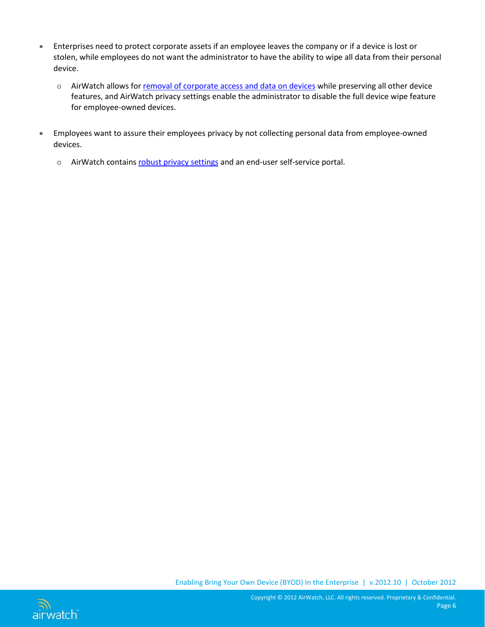- Enterprises need to protect corporate assets if an employee leaves the company or if a device is lost or stolen, while employees do not want the administrator to have the ability to wipe all data from their personal device.
	- o AirWatch allows fo[r removal of corporate access and data on devices](#page-17-1) while preserving all other device features, and AirWatch privacy settings enable the administrator to disable the full device wipe feature for employee-owned devices.
- Employees want to assure their employees privacy by not collecting personal data from employee-owned devices.
	- o AirWatch contain[s robust privacy settings](#page-15-0) and an end-user self-service portal.



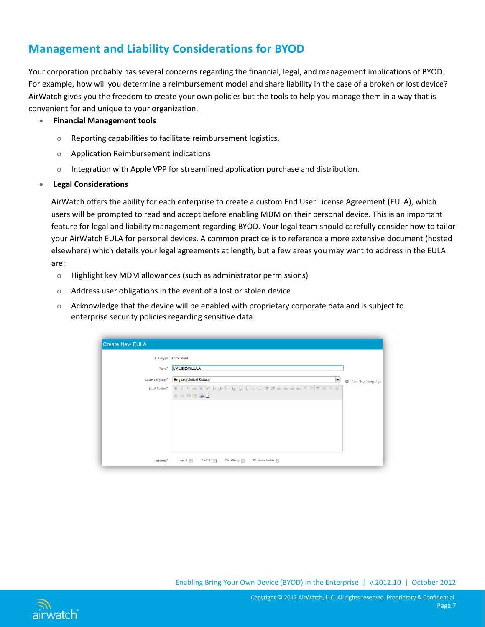# <span id="page-7-0"></span>**Management and Liability Considerations for BYOD**

Your corporation probably has several concerns regarding the financial, legal, and management implications of BYOD. For example, how will you determine a reimbursement model and share liability in the case of a broken or lost device? AirWatch gives you the freedom to create your own policies but the tools to help you manage them in a way that is convenient for and unique to your organization.

- **Financial Management tools**
	- o Reporting capabilities to facilitate reimbursement logistics.
	- o Application Reimbursement indications
	- o Integration with Apple VPP for streamlined application purchase and distribution.

#### • **Legal Considerations**

<span id="page-7-1"></span>AirWatch offers the ability for each enterprise to create a custom End User License Agreement (EULA), which users will be prompted to read and accept before enabling MDM on their personal device. This is an important feature for legal and liability management regarding BYOD. Your legal team should carefully consider how to tailor your AirWatch EULA for personal devices. A common practice is to reference a more extensive document (hosted elsewhere) which details your legal agreements at length, but a few areas you may want to address in the EULA are:

- o Highlight key MDM allowances (such as administrator permissions)
- o Address user obligations in the event of a lost or stolen device
- o Acknowledge that the device will be enabled with proprietary corporate data and is subject to enterprise security policies regarding sensitive data

| <b>Create New EULA</b>       |                                                            |                               |
|------------------------------|------------------------------------------------------------|-------------------------------|
|                              | <b>EULAType</b> Enrollment                                 |                               |
| Name*                        | My Custom EULA                                             |                               |
| Select Language <sup>*</sup> | $\overline{\phantom{0}}$<br><b>English (United States)</b> | $\bullet$<br>Add New Language |
| EULA Content*                |                                                            |                               |
|                              | $*$ a a a a $\triangle$ o                                  |                               |
|                              |                                                            |                               |
|                              |                                                            |                               |
|                              |                                                            |                               |
|                              |                                                            |                               |
|                              |                                                            |                               |
| Platforms*                   | Windows Mobile [<br>Apple<br>Android<br><b>BlackBerry</b>  |                               |

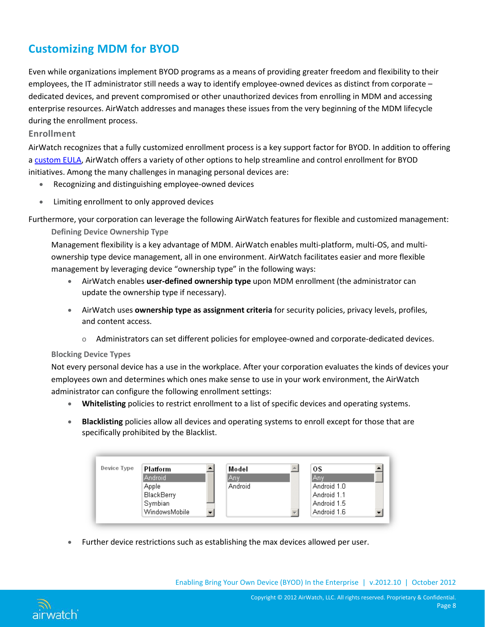# <span id="page-8-0"></span>**Customizing MDM for BYOD**

Even while organizations implement BYOD programs as a means of providing greater freedom and flexibility to their employees, the IT administrator still needs a way to identify employee-owned devices as distinct from corporate – dedicated devices, and prevent compromised or other unauthorized devices from enrolling in MDM and accessing enterprise resources. AirWatch addresses and manages these issues from the very beginning of the MDM lifecycle during the enrollment process.

#### <span id="page-8-1"></span>**Enrollment**

AirWatch recognizes that a fully customized enrollment process is a key support factor for BYOD. In addition to offering a [custom EULA,](#page-7-1) AirWatch offers a variety of other options to help streamline and control enrollment for BYOD initiatives. Among the many challenges in managing personal devices are:

- Recognizing and distinguishing employee-owned devices
- Limiting enrollment to only approved devices

<span id="page-8-2"></span>Furthermore, your corporation can leverage the following AirWatch features for flexible and customized management: **Defining Device Ownership Type** 

Management flexibility is a key advantage of MDM. AirWatch enables multi-platform, multi-OS, and multiownership type device management, all in one environment. AirWatch facilitates easier and more flexible management by leveraging device "ownership type" in the following ways:

- AirWatch enables **user-defined ownership type** upon MDM enrollment (the administrator can update the ownership type if necessary).
- AirWatch uses **ownership type as assignment criteria** for security policies, privacy levels, profiles, and content access.
	- o Administrators can set different policies for employee-owned and corporate-dedicated devices.

#### **Blocking Device Types**

Not every personal device has a use in the workplace. After your corporation evaluates the kinds of devices your employees own and determines which ones make sense to use in your work environment, the AirWatch administrator can configure the following enrollment settings:

- **Whitelisting** policies to restrict enrollment to a list of specific devices and operating systems.
- **Blacklisting** policies allow all devices and operating systems to enroll except for those that are specifically prohibited by the Blacklist.



• Further device restrictions such as establishing the max devices allowed per user.

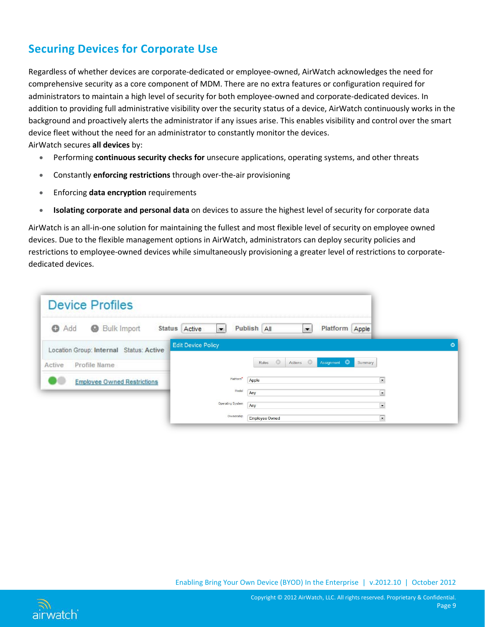# <span id="page-9-0"></span>**Securing Devices for Corporate Use**

Regardless of whether devices are corporate-dedicated or employee-owned, AirWatch acknowledges the need for comprehensive security as a core component of MDM. There are no extra features or configuration required for administrators to maintain a high level of security for both employee-owned and corporate-dedicated devices. In addition to providing full administrative visibility over the security status of a device, AirWatch continuously works in the background and proactively alerts the administrator if any issues arise. This enables visibility and control over the smart device fleet without the need for an administrator to constantly monitor the devices. AirWatch secures **all devices** by:

- Performing **continuous security checks for** unsecure applications, operating systems, and other threats
- Constantly **enforcing restrictions** through over-the-air provisioning
- Enforcing **data encryption** requirements
- **Isolating corporate and personal data** on devices to assure the highest level of security for corporate data

AirWatch is an all-in-one solution for maintaining the fullest and most flexible level of security on employee owned devices. Due to the flexible management options in AirWatch, administrators can deploy security policies and restrictions to employee-owned devices while simultaneously provisioning a greater level of restrictions to corporatededicated devices.

| <b>Device Profiles</b>                  |                               |                                                    |                          |                |
|-----------------------------------------|-------------------------------|----------------------------------------------------|--------------------------|----------------|
| <b>Bulk Import</b><br>$\bigcirc$ Add    | Status Active<br>$\mathbf{r}$ | Publish All<br>$\blacktriangledown$                | Platform Apple           |                |
| Location Group: Internal Status: Active | <b>Edit Device Policy</b>     |                                                    |                          | $\circledcirc$ |
| Profile Name<br>Active                  |                               | $\circ$<br>Assignment <b>O</b><br>Actions<br>Rules | Summary                  |                |
| <b>Employee Owned Restrictions</b>      | Platform <sup>*</sup>         | Apple                                              | $\overline{\phantom{a}}$ |                |
|                                         | Model                         | Any                                                | $\overline{\phantom{a}}$ |                |
|                                         | Operating System              | Any                                                | $\overline{\phantom{a}}$ |                |
|                                         | Ownership                     | <b>Employee Owned</b>                              | $\overline{\phantom{a}}$ |                |

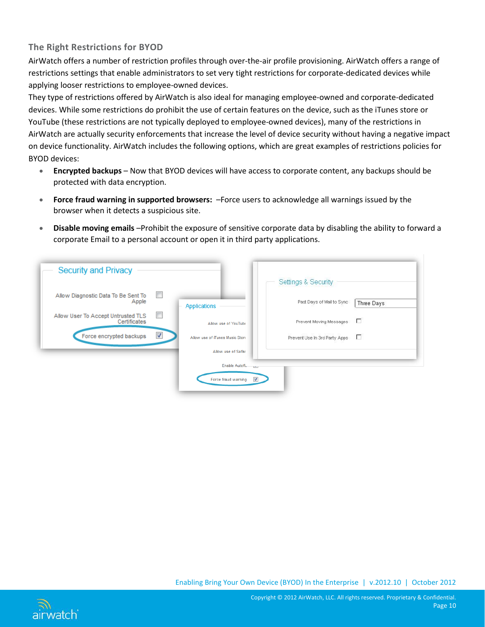### <span id="page-10-0"></span>**The Right Restrictions for BYOD**

AirWatch offers a number of restriction profiles through over-the-air profile provisioning. AirWatch offers a range of restrictions settings that enable administrators to set very tight restrictions for corporate-dedicated devices while applying looser restrictions to employee-owned devices.

They type of restrictions offered by AirWatch is also ideal for managing employee-owned and corporate-dedicated devices. While some restrictions do prohibit the use of certain features on the device, such as the iTunes store or YouTube (these restrictions are not typically deployed to employee-owned devices), many of the restrictions in AirWatch are actually security enforcements that increase the level of device security without having a negative impact on device functionality. AirWatch includes the following options, which are great examples of restrictions policies for BYOD devices:

- **Encrypted backups** Now that BYOD devices will have access to corporate content, any backups should be protected with data encryption.
- **Force fraud warning in supported browsers:** –Force users to acknowledge all warnings issued by the browser when it detects a suspicious site.
- **Disable moving emails** –Prohibit the exposure of sensitive corporate data by disabling the ability to forward a corporate Email to a personal account or open it in third party applications.

| <b>Security and Privacy</b>                                                    |                                                | Settings & Security           |            |
|--------------------------------------------------------------------------------|------------------------------------------------|-------------------------------|------------|
| $\mathcal{C}$<br>Allow Diagnostic Data To Be Sent To<br>Apple                  | <b>Applications</b>                            | Past Days of Mail to Sync.    | Three Days |
| $\overline{\phantom{a}}$<br>Allow User To Accept Untrusted TLS<br>Certificates | Allow use of YouTube                           | Prevent Moving Messages       | л          |
| $\blacktriangledown$<br>Force encrypted backups                                | Allow use of iTunes Music Store                | Prevent Use In 3rd Party Apps | л          |
|                                                                                | Allow use of Safar                             |                               |            |
|                                                                                | Enable Autofi.<br><b>DES</b>                   |                               |            |
|                                                                                | Force fraud warning<br>$\overline{\mathsf{v}}$ |                               |            |

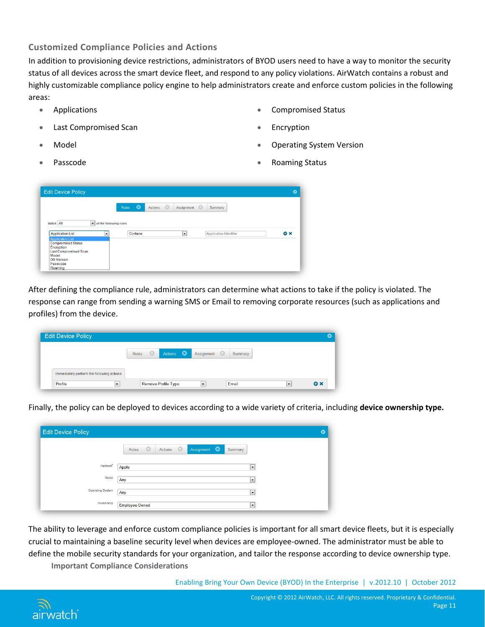#### <span id="page-11-0"></span>**Customized Compliance Policies and Actions**

In addition to provisioning device restrictions, administrators of BYOD users need to have a way to monitor the security status of all devices across the smart device fleet, and respond to any policy violations. AirWatch contains a robust and highly customizable compliance policy engine to help administrators create and enforce custom policies in the following areas:

- 
- **Last Compromised Scan Encryption** Encryption
- 
- 
- Applications Compromised Status
	-
	- Model Operating System Version
	- **Passcode Passcode Roaming Status**

| <b>Edit Device Policy</b>                            |                                  |                                           |                               |                |
|------------------------------------------------------|----------------------------------|-------------------------------------------|-------------------------------|----------------|
|                                                      | <b>CO</b><br><b>Rules</b>        | $\circ$<br>Assignment <b>O</b><br>Actions | Summary                       |                |
| Match All                                            | $\bullet$ of the following rules |                                           |                               |                |
| <b>Application List</b>                              | Contains<br>$\bullet$            | $\overline{\phantom{0}}$                  | <b>Application Identifier</b> | $\mathbf{a}$ x |
| <b>Application List</b><br><b>Compromised Status</b> |                                  |                                           |                               |                |
| Encryption                                           |                                  |                                           |                               |                |
|                                                      |                                  |                                           |                               |                |
| Last Compromised Scan                                |                                  |                                           |                               |                |
| Model<br><b>OS Version</b>                           |                                  |                                           |                               |                |

After defining the compliance rule, administrators can determine what actions to take if the policy is violated. The response can range from sending a warning SMS or Email to removing corporate resources (such as applications and profiles) from the device.

| <b>Edit Device Policy</b>                 |                                             |                                     |                                                      |
|-------------------------------------------|---------------------------------------------|-------------------------------------|------------------------------------------------------|
|                                           | Actions <b>O</b><br>$\circ$<br><b>Rules</b> | Assignment<br>Summary               |                                                      |
| Immediately perform the following actions |                                             |                                     |                                                      |
| $\vert \cdot \vert$<br>Profile            | <b>Remove Profile Type</b>                  | __<br>Email<br>$\blacktriangledown$ | _<br>$\mathbf{O} \times$<br>$\overline{\phantom{a}}$ |

Finally, the policy can be deployed to devices according to a wide variety of criteria, including **device ownership type.**

|                       | $\circ$<br>Actions<br>Rules<br>Assignment <b>O</b><br>Summary |                          |
|-----------------------|---------------------------------------------------------------|--------------------------|
| Platform <sup>*</sup> | Apple                                                         | $\blacksquare$           |
| Model                 | Any                                                           | $\overline{\phantom{a}}$ |
| Operating System      | Any                                                           | $\vert \cdot \vert$      |
| Ownership             | Employee Owned                                                | $\cdot$                  |

The ability to leverage and enforce custom compliance policies is important for all smart device fleets, but it is especially crucial to maintaining a baseline security level when devices are employee-owned. The administrator must be able to define the mobile security standards for your organization, and tailor the response according to device ownership type. **Important Compliance Considerations**

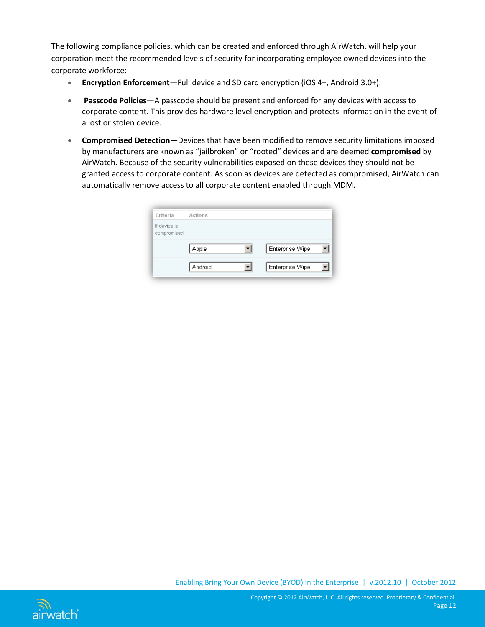The following compliance policies, which can be created and enforced through AirWatch, will help your corporation meet the recommended levels of security for incorporating employee owned devices into the corporate workforce:

- **Encryption Enforcement**—Full device and SD card encryption (iOS 4+, Android 3.0+).
- **Passcode Policies**—A passcode should be present and enforced for any devices with access to corporate content. This provides hardware level encryption and protects information in the event of a lost or stolen device.
- **Compromised Detection**—Devices that have been modified to remove security limitations imposed by manufacturers are known as "jailbroken" or "rooted" devices and are deemed **compromised** by AirWatch. Because of the security vulnerabilities exposed on these devices they should not be granted access to corporate content. As soon as devices are detected as compromised, AirWatch can automatically remove access to all corporate content enabled through MDM.

| Criteria                    | Actions |                 |
|-----------------------------|---------|-----------------|
| If device is<br>compromised |         |                 |
|                             | Apple   | Enterprise Wipe |
|                             | Android | Enterprise Wipe |

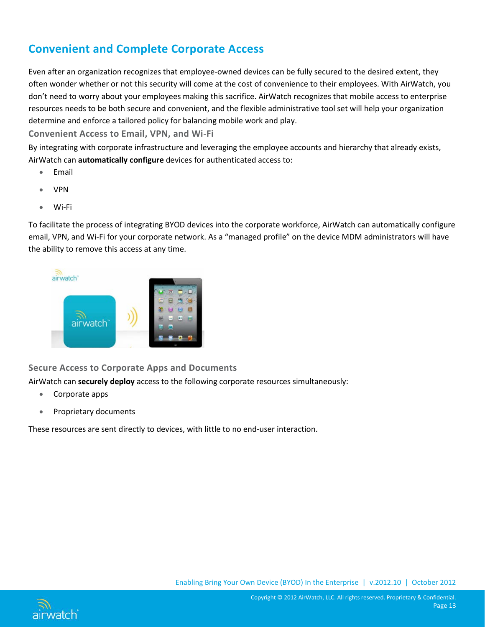# <span id="page-13-0"></span>**Convenient and Complete Corporate Access**

Even after an organization recognizes that employee-owned devices can be fully secured to the desired extent, they often wonder whether or not this security will come at the cost of convenience to their employees. With AirWatch, you don't need to worry about your employees making this sacrifice. AirWatch recognizes that mobile access to enterprise resources needs to be both secure and convenient, and the flexible administrative tool set will help your organization determine and enforce a tailored policy for balancing mobile work and play.

<span id="page-13-1"></span>**Convenient Access to Email, VPN, and Wi-Fi**

By integrating with corporate infrastructure and leveraging the employee accounts and hierarchy that already exists, AirWatch can **automatically configure** devices for authenticated access to:

- Email
- VPN
- Wi-Fi

To facilitate the process of integrating BYOD devices into the corporate workforce, AirWatch can automatically configure email, VPN, and Wi-Fi for your corporate network. As a "managed profile" on the device MDM administrators will have the ability to remove this access at any time.



### <span id="page-13-2"></span>**Secure Access to Corporate Apps and Documents**

AirWatch can **securely deploy** access to the following corporate resources simultaneously:

- Corporate apps
- Proprietary documents

These resources are sent directly to devices, with little to no end-user interaction.



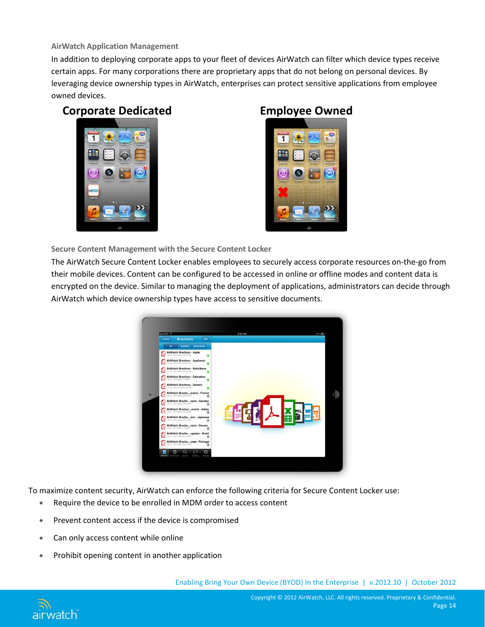#### **AirWatch Application Management**

In addition to deploying corporate apps to your fleet of devices AirWatch can filter which device types receive certain apps. For many corporations there are proprietary apps that do not belong on personal devices. By leveraging device ownership types in AirWatch, enterprises can protect sensitive applications from employee owned devices.

## **Corporate Dedicated Employee Owned**





**Secure Content Management with the Secure Content Locker**

The AirWatch Secure Content Locker enables employees to securely access corporate resources on-the-go from their mobile devices. Content can be configured to be accessed in online or offline modes and content data is encrypted on the device. Similar to managing the deployment of applications, administrators can decide through AirWatch which device ownership types have access to sensitive documents.



To maximize content security, AirWatch can enforce the following criteria for Secure Content Locker use:

- Require the device to be enrolled in MDM order to access content
- Prevent content access if the device is compromised
- Can only access content while online
- Prohibit opening content in another application

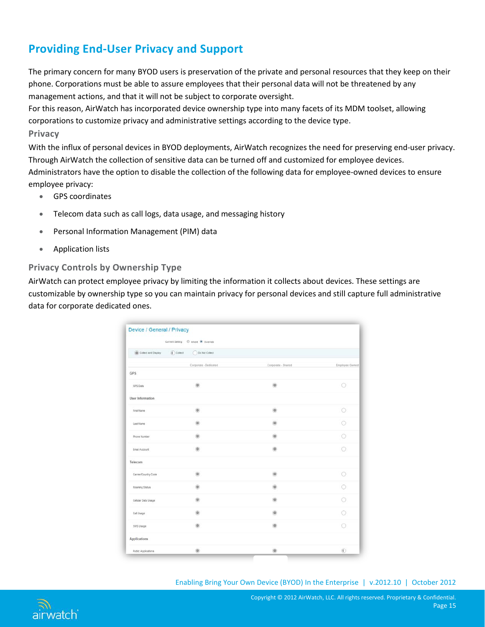# <span id="page-15-0"></span>**Providing End-User Privacy and Support**

The primary concern for many BYOD users is preservation of the private and personal resources that they keep on their phone. Corporations must be able to assure employees that their personal data will not be threatened by any management actions, and that it will not be subject to corporate oversight.

For this reason, AirWatch has incorporated device ownership type into many facets of its MDM toolset, allowing corporations to customize privacy and administrative settings according to the device type.

#### <span id="page-15-1"></span>**Privacy**

With the influx of personal devices in BYOD deployments, AirWatch recognizes the need for preserving end-user privacy. Through AirWatch the collection of sensitive data can be turned off and customized for employee devices. Administrators have the option to disable the collection of the following data for employee-owned devices to ensure employee privacy:

- GPS coordinates
- Telecom data such as call logs, data usage, and messaging history
- Personal Information Management (PIM) data
- Application lists

#### <span id="page-15-2"></span>**Privacy Controls by Ownership Type**

AirWatch can protect employee privacy by limiting the information it collects about devices. These settings are customizable by ownership type so you can maintain privacy for personal devices and still capture full administrative data for corporate dedicated ones.

| Collect and Display  | $\left(\overline{\P}\right)$ Colect<br>Do Not Collect |                    |                |
|----------------------|-------------------------------------------------------|--------------------|----------------|
|                      | Corporate - Dedicated                                 | Corporate - Shared | Employee Owned |
| <b>GPS</b>           |                                                       |                    |                |
| GPS Data             | œ.                                                    | ø                  | $\odot$        |
| User Information     |                                                       |                    |                |
| First Name           | a                                                     |                    | ⊙              |
| Last Name            |                                                       |                    |                |
| Phone Number         | m                                                     |                    |                |
| Email Account        |                                                       |                    |                |
| Telecom              |                                                       |                    |                |
| Carrier/Country Code |                                                       |                    | 0              |
| Roaming Status       |                                                       |                    |                |
| Cellular Data Usage  |                                                       |                    |                |
| Call Usage           |                                                       |                    |                |
| SMS Usage            | m                                                     |                    | ⊙              |
| Applications         |                                                       |                    |                |
| Public Applications  | â                                                     | Ġ                  | $^{(i)}$       |

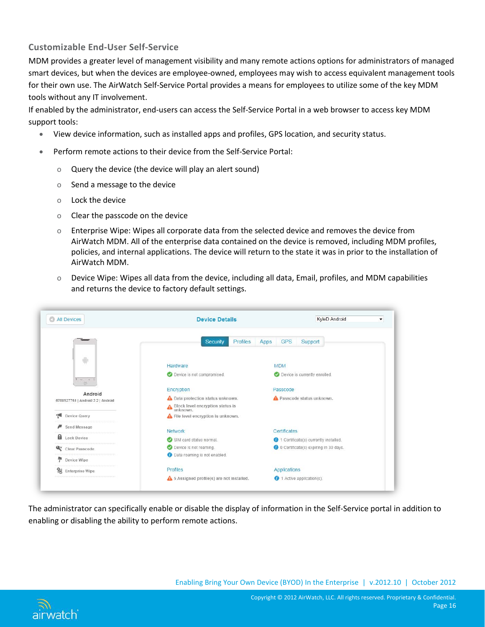### <span id="page-16-0"></span>**Customizable End-User Self-Service**

MDM provides a greater level of management visibility and many remote actions options for administrators of managed smart devices, but when the devices are employee-owned, employees may wish to access equivalent management tools for their own use. The AirWatch Self-Service Portal provides a means for employees to utilize some of the key MDM tools without any IT involvement.

If enabled by the administrator, end-users can access the Self-Service Portal in a web browser to access key MDM support tools:

- View device information, such as installed apps and profiles, GPS location, and security status.
- Perform remote actions to their device from the Self-Service Portal:
	- o Query the device (the device will play an alert sound)
	- o Send a message to the device
	- o Lock the device
	- o Clear the passcode on the device
	- o Enterprise Wipe: Wipes all corporate data from the selected device and removes the device from AirWatch MDM. All of the enterprise data contained on the device is removed, including MDM profiles, policies, and internal applications. The device will return to the state it was in prior to the installation of AirWatch MDM.
	- o Device Wipe: Wipes all data from the device, including all data, Email, profiles, and MDM capabilities and returns the device to factory default settings.



The administrator can specifically enable or disable the display of information in the Self-Service portal in addition to enabling or disabling the ability to perform remote actions.



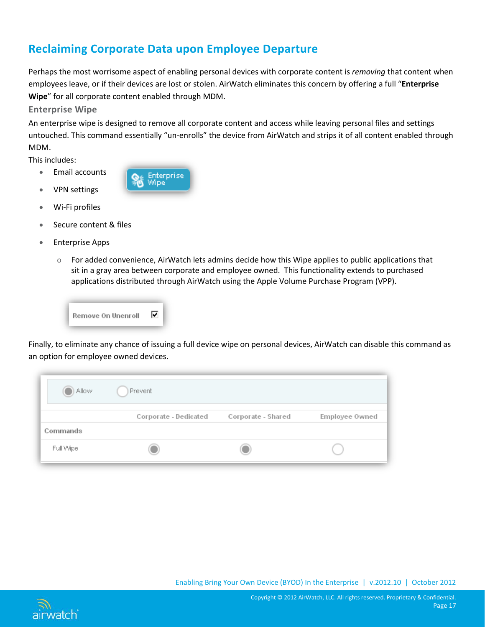# <span id="page-17-0"></span>**Reclaiming Corporate Data upon Employee Departure**

Perhaps the most worrisome aspect of enabling personal devices with corporate content is *removing* that content when employees leave, or if their devices are lost or stolen. AirWatch eliminates this concern by offering a full "**Enterprise Wipe**" for all corporate content enabled through MDM.

<span id="page-17-1"></span>**Enterprise Wipe** 

An enterprise wipe is designed to remove all corporate content and access while leaving personal files and settings untouched. This command essentially "un-enrolls" the device from AirWatch and strips it of all content enabled through MDM.

This includes:

- Email accounts
- VPN settings



- Wi-Fi profiles
- Secure content & files
- Enterprise Apps
	- o For added convenience, AirWatch lets admins decide how this Wipe applies to public applications that sit in a gray area between corporate and employee owned. This functionality extends to purchased applications distributed through AirWatch using the Apple Volume Purchase Program (VPP).



Finally, to eliminate any chance of issuing a full device wipe on personal devices, AirWatch can disable this command as an option for employee owned devices.

| Allow     | Prevent               |                    |                |
|-----------|-----------------------|--------------------|----------------|
|           | Corporate - Dedicated | Corporate - Shared | Employee Owned |
| Commands  |                       |                    |                |
| Full Wipe |                       |                    |                |